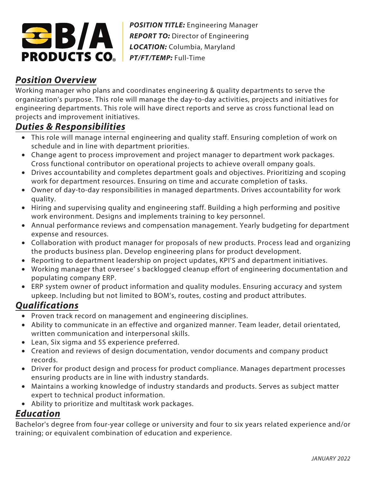

*POSITION TITLE:* Engineering Manager **REPORT TO:** Director of Engineering *LOCATION:* Columbia, Maryland *PT/FT/TEMP:* Full-Time

## **Position Overview**

Working manager who plans and coordinates engineering & quality departments to serve the organization's purpose. This role will manage the day-to-day activities, projects and initiatives for engineering departments. This role will have direct reports and serve as cross functional lead on projects and improvement initiatives.

## **Duties & Responsibilities**

- This role will manage internal engineering and quality staff. Ensuring completion of work on schedule and in line with department priorities.
- Change agent to process improvement and project manager to department work packages. Cross functional contributor on operational projects to achieve overall ompany goals.
- Drives accountability and completes department goals and objectives. Prioritizing and scoping work for department resources. Ensuring on time and accurate completion of tasks.
- Owner of day-to-day responsibilities in managed departments. Drives accountability for work quality.
- Hiring and supervising quality and engineering staff. Building a high performing and positive work environment. Designs and implements training to key personnel.
- Annual performance reviews and compensation management. Yearly budgeting for department expense and resources.
- Collaboration with product manager for proposals of new products. Process lead and organizing the products business plan. Develop engineering plans for product development.
- Reporting to department leadership on project updates, KPI'S and department initiatives.
- Working manager that oversee' s backlogged cleanup effort of engineering documentation and populating company ERP.
- ERP system owner of product information and quality modules. Ensuring accuracy and system upkeep. Including but not limited to BOM's, routes, costing and product attributes.

## **Qualifications**

- Proven track record on management and engineering disciplines.
- Ability to communicate in an effective and organized manner. Team leader, detail orientated, written communication and interpersonal skills.
- Lean, Six sigma and 5S experience preferred.
- Creation and reviews of design documentation, vendor documents and company product records.
- Driver for product design and process for product compliance. Manages department processes ensuring products are in line with industry standards.
- Maintains a working knowledge of industry standards and products. Serves as subject matter expert to technical product information.
- Ability to prioritize and multitask work packages.

## **Education**

Bachelor's degree from four-year college or university and four to six years related experience and/or training; or equivalent combination of education and experience.